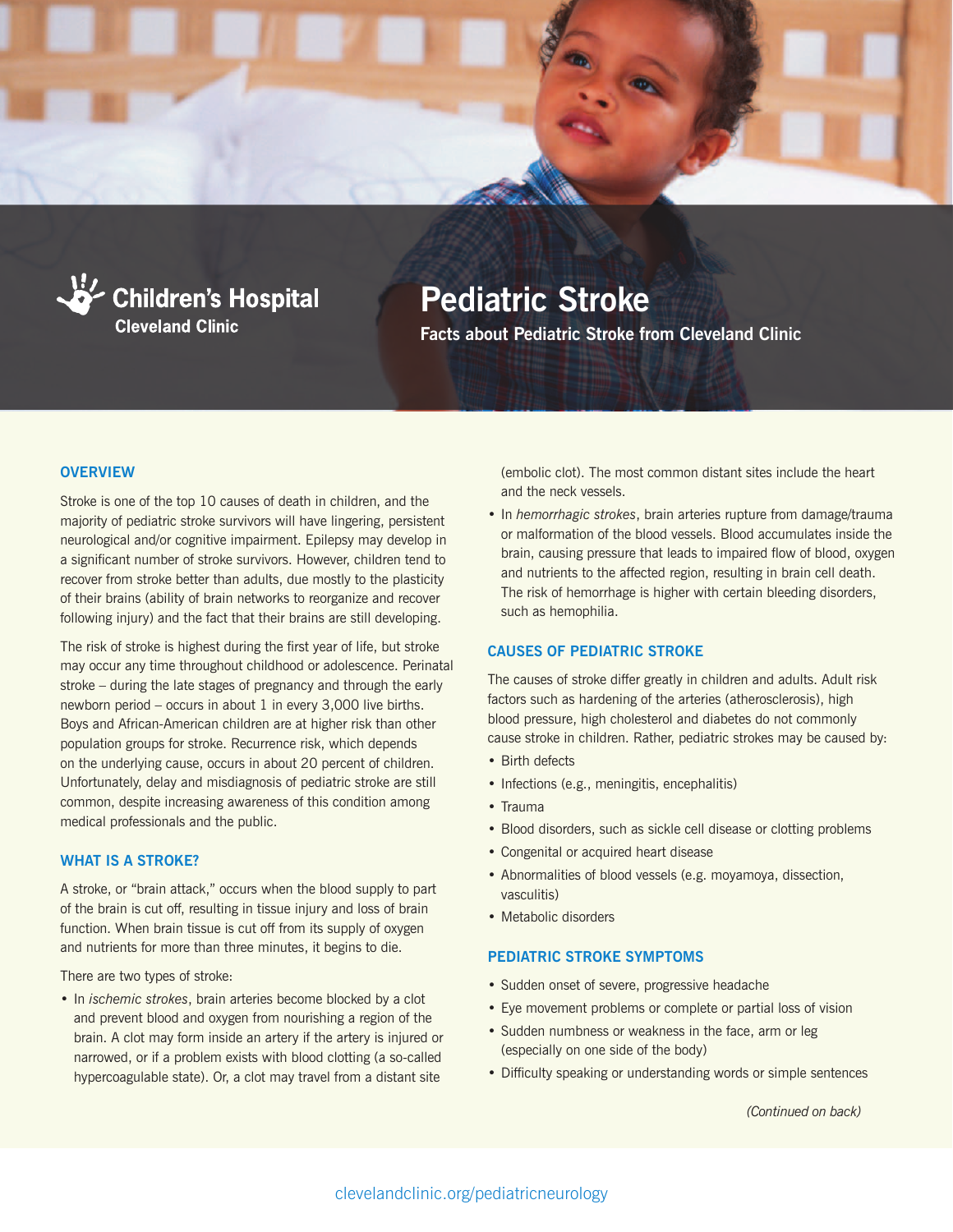



# **Pediatric Stroke**

**Facts about Pediatric Stroke from Cleveland Clinic**

# **OVERVIEW**

Stroke is one of the top 10 causes of death in children, and the majority of pediatric stroke survivors will have lingering, persistent neurological and/or cognitive impairment. Epilepsy may develop in a significant number of stroke survivors. However, children tend to recover from stroke better than adults, due mostly to the plasticity of their brains (ability of brain networks to reorganize and recover following injury) and the fact that their brains are still developing.

The risk of stroke is highest during the first year of life, but stroke may occur any time throughout childhood or adolescence. Perinatal stroke – during the late stages of pregnancy and through the early newborn period – occurs in about 1 in every 3,000 live births. Boys and African-American children are at higher risk than other population groups for stroke. Recurrence risk, which depends on the underlying cause, occurs in about 20 percent of children. Unfortunately, delay and misdiagnosis of pediatric stroke are still common, despite increasing awareness of this condition among medical professionals and the public.

## **WHAT IS A STROKE?**

A stroke, or "brain attack," occurs when the blood supply to part of the brain is cut off, resulting in tissue injury and loss of brain function. When brain tissue is cut off from its supply of oxygen and nutrients for more than three minutes, it begins to die.

There are two types of stroke:

• In *ischemic strokes*, brain arteries become blocked by a clot and prevent blood and oxygen from nourishing a region of the brain. A clot may form inside an artery if the artery is injured or narrowed, or if a problem exists with blood clotting (a so-called hypercoagulable state). Or, a clot may travel from a distant site

(embolic clot). The most common distant sites include the heart and the neck vessels.

• In *hemorrhagic strokes*, brain arteries rupture from damage/trauma or malformation of the blood vessels. Blood accumulates inside the brain, causing pressure that leads to impaired flow of blood, oxygen and nutrients to the affected region, resulting in brain cell death. The risk of hemorrhage is higher with certain bleeding disorders, such as hemophilia.

#### **CAUSES OF PEDIATRIC STROKE**

The causes of stroke differ greatly in children and adults. Adult risk factors such as hardening of the arteries (atherosclerosis), high blood pressure, high cholesterol and diabetes do not commonly cause stroke in children. Rather, pediatric strokes may be caused by:

- Birth defects
- Infections (e.g., meningitis, encephalitis)
- Trauma
- Blood disorders, such as sickle cell disease or clotting problems
- Congenital or acquired heart disease
- Abnormalities of blood vessels (e.g. moyamoya, dissection, vasculitis)
- Metabolic disorders

#### **PEDIATRIC STROKE SYMPTOMS**

- Sudden onset of severe, progressive headache
- Eye movement problems or complete or partial loss of vision
- Sudden numbness or weakness in the face, arm or leg (especially on one side of the body)
- Difficulty speaking or understanding words or simple sentences

*(Continued on back)*